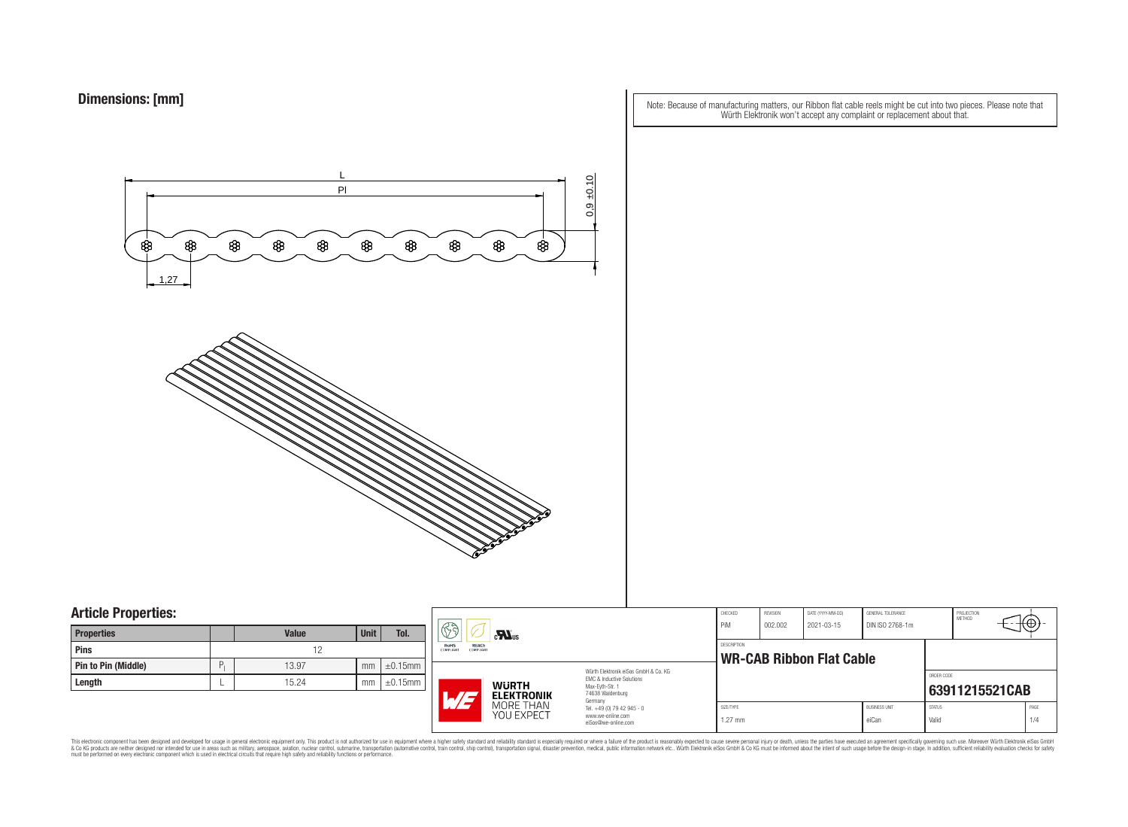Note: Because of manufacturing matters, our Ribbon flat cable reels might be cut into two pieces. Please note that Würth Elektronik won't accept any complaint or replacement about that.



### **Article Properties:**

| <b>Properties</b>          |   | <b>Value</b> | Unit | Tol.          |
|----------------------------|---|--------------|------|---------------|
| <b>Pins</b>                |   | 19           |      |               |
| <b>Pin to Pin (Middle)</b> | P | 13.97        | mm   | $\pm 0.15$ mm |
| Length                     |   | 15.24        | mm   | $\pm 0.15$ mm |

| ٠.                    | RE                                                           | $\mathbf{r}$                      |                                                |                    | CHECKED<br>PiM | REVISION<br>002.002 | DATE (YYYY-MM-DD)<br>2021-03-15 | <b>GENERAL TOLERANCE</b><br>DIN ISO 2768-1m |               | PROJECTION<br><b>METHOD</b> |      |
|-----------------------|--------------------------------------------------------------|-----------------------------------|------------------------------------------------|--------------------|----------------|---------------------|---------------------------------|---------------------------------------------|---------------|-----------------------------|------|
|                       | REACh<br><b>RoHS</b><br><b>COMPLIANT</b><br><b>COMPLIANT</b> |                                   |                                                | <b>DESCRIPTION</b> |                |                     |                                 |                                             |               |                             |      |
| 5mm                   |                                                              |                                   | Würth Flektronik eiSos GmbH & Co. KG           |                    |                |                     | <b>WR-CAB Ribbon Flat Cable</b> |                                             |               |                             |      |
| $\overline{\rm{5mm}}$ |                                                              |                                   | EMC & Inductive Solutions                      |                    |                |                     |                                 |                                             | ORDER CODE    |                             |      |
|                       | L/I                                                          | <b>WURTH</b><br><b>ELEKTRONIK</b> | Max-Eyth-Str. 1<br>74638 Waldenburg<br>Germany |                    |                |                     |                                 |                                             |               | 63911215521CAB              |      |
|                       |                                                              | MORE THAN                         | Tel. +49 (0) 79 42 945 - 0                     |                    | SIZE/TYPE      |                     |                                 | <b>BLISINESS LINIT</b>                      | <b>STATUS</b> |                             | PAGE |
|                       |                                                              | YOU EXPECT                        | www.we-online.com<br>eiSos@we-online.com       | 1.27 mm            |                |                     | eiCan                           | Valid                                       |               | 1/4                         |      |

This electronic component has been designed and developed for usage in general electronic equipment only. This product is not authorized for subserved requipment where a higher selection equipment where a higher selection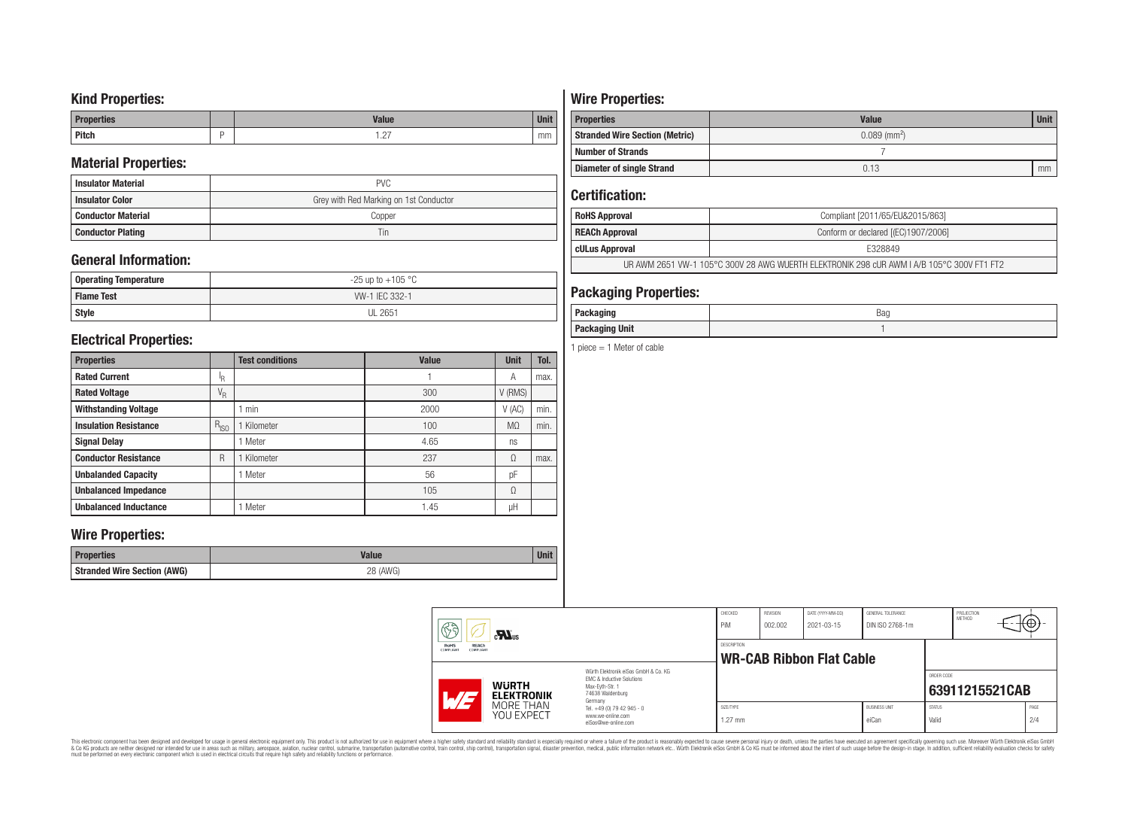## **Kind Properties:**

| <b>Properties</b> | <b>Value</b>                     | <b>Unit</b> |
|-------------------|----------------------------------|-------------|
| <b>Pitch</b>      | $\sim$<br>$\cdot$ $\sim$ $\cdot$ | mm          |

## **Material Properties:**

| <b>Insulator Material</b> | <b>PVC</b>                             |
|---------------------------|----------------------------------------|
| <b>Insulator Color</b>    | Grey with Red Marking on 1st Conductor |
| <b>Conductor Material</b> | Copper                                 |
| <b>Conductor Plating</b>  | Tin                                    |

## **General Information:**

| Operating Temperature | $-25$ up to $+105$ °C |
|-----------------------|-----------------------|
| <b>Flame Test</b>     | W-1 IEC 332-1         |
| <b>Style</b>          | <b>UL 2651</b>        |

## **Electrical Properties:**

| <b>Properties</b>            |                           | <b>Test conditions</b> | <b>Value</b> | <b>Unit</b>    | Tol. |
|------------------------------|---------------------------|------------------------|--------------|----------------|------|
| <b>Rated Current</b>         | ΙŖ.                       |                        |              | Α              | max. |
| <b>Rated Voltage</b>         | $\mathrm{V}_{\mathrm{R}}$ |                        | 300          | V (RMS)        |      |
| <b>Withstanding Voltage</b>  |                           | min                    | 2000         | V(AC)          | min. |
| <b>Insulation Resistance</b> | $R_{ISO}$                 | Kilometer              | 100          | M <sub>0</sub> | min. |
| <b>Signal Delay</b>          |                           | Meter                  | 4.65         | ns             |      |
| <b>Conductor Resistance</b>  | R                         | Kilometer              | 237          | Ω              | max. |
| <b>Unbalanded Capacity</b>   |                           | Meter                  | 56           | pF             |      |
| <b>Unbalanced Impedance</b>  |                           |                        | 105          | Ω              |      |
| <b>Unbalanced Inductance</b> |                           | Meter                  | 1.45         | μH             |      |

## **Wire Properties:**

| Properties                         | <b>Valut</b>   | <b>Unit</b> |
|------------------------------------|----------------|-------------|
| <b>Stranded Wire Section (AWG)</b> | 28 (AWG)<br>∠∪ |             |

# **Wire Properties:**

| <b>Properties</b>                                                   | <b>Value</b> | <b>Unit</b> |  |
|---------------------------------------------------------------------|--------------|-------------|--|
| $0.089$ (mm <sup>2</sup> )<br><b>Stranded Wire Section (Metric)</b> |              |             |  |
| <b>Number of Strands</b>                                            |              |             |  |
| <b>Diameter of single Strand</b>                                    | 0.13         | mm          |  |

## **Certification:**

| <b>RoHS Approval</b>                                                                      | Compliant [2011/65/EU&2015/863]     |  |  |  |
|-------------------------------------------------------------------------------------------|-------------------------------------|--|--|--|
| REACh Approval                                                                            | Conform or declared [(EC)1907/2006] |  |  |  |
| cULus Approval                                                                            | F328849                             |  |  |  |
| UR AWM 2651 VW-1 105°C 300V 28 AWG WUERTH ELEKTRONIK 298 cUR AWM I A/B 105°C 300V FT1 FT2 |                                     |  |  |  |

## **Packaging Properties:**

| -----<br>rackayıny       | Bag |
|--------------------------|-----|
| <b>Unit</b><br>Packaging |     |

1 piece  $= 1$  Meter of cable

| 63                                                  | $c$ <b>N</b> <sub>us</sub> |                                                                                                                     | CHECKED<br>PiM         | REVISION<br>002.002 | DATE (YYYY-MM-DD)<br>2021-03-15 | GENERAL TOLERANCE<br>DIN ISO 2768-1m |                        | PROJECTION<br><b>METHOD</b> | ćΦ          |
|-----------------------------------------------------|----------------------------|---------------------------------------------------------------------------------------------------------------------|------------------------|---------------------|---------------------------------|--------------------------------------|------------------------|-----------------------------|-------------|
| RoHS<br>REACh<br>COMPLIANT<br><b>COMPLIANT</b>      |                            | DESCRIPTION<br><b>WR-CAB Ribbon Flat Cable</b>                                                                      |                        |                     |                                 |                                      |                        |                             |             |
| <b>WURTH</b><br>$\overline{M}$<br><b>ELEKTRONIK</b> |                            | Würth Flektronik eiSos GmbH & Co. KG<br>EMC & Inductive Solutions<br>Max-Evth-Str. 1<br>74638 Waldenburg<br>Germany |                        |                     |                                 |                                      | ORDER CODE             | 63911215521CAB              |             |
|                                                     | MORE THAN<br>YOU EXPECT    | Tel. +49 (0) 79 42 945 - 0<br>www.we-online.com<br>eiSos@we-online.com                                              | SIZE/TYPE<br>$1.27$ mm |                     |                                 | <b>BUSINESS UNIT</b><br>eiCan        | <b>STATUS</b><br>Valid |                             | PAGE<br>2/4 |

This electronic component has been designed and developed for usage in general electronic equipment only. This product is not authorized for subserved requipment where a higher selection equipment where a higher selection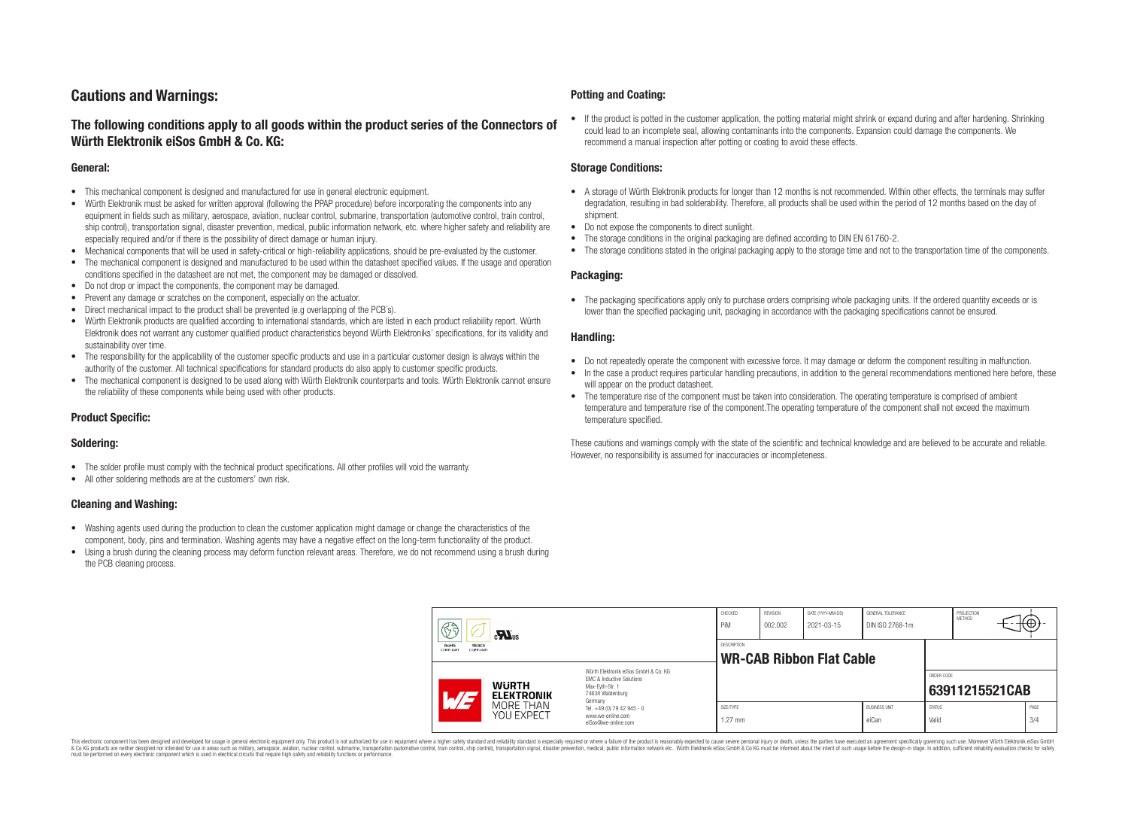## **Cautions and Warnings:**

### **The following conditions apply to all goods within the product series of the Connectors of Würth Elektronik eiSos GmbH & Co. KG:**

#### **General:**

- This mechanical component is designed and manufactured for use in general electronic equipment.
- Würth Elektronik must be asked for written approval (following the PPAP procedure) before incorporating the components into any equipment in fields such as military, aerospace, aviation, nuclear control, submarine, transportation (automotive control, train control, ship control), transportation signal, disaster prevention, medical, public information network, etc. where higher safety and reliability are especially required and/or if there is the possibility of direct damage or human injury.
- Mechanical components that will be used in safety-critical or high-reliability applications, should be pre-evaluated by the customer.
- The mechanical component is designed and manufactured to be used within the datasheet specified values. If the usage and operation conditions specified in the datasheet are not met, the component may be damaged or dissolved.
- Do not drop or impact the components, the component may be damaged.
- Prevent any damage or scratches on the component, especially on the actuator.
- Direct mechanical impact to the product shall be prevented (e.g overlapping of the PCB's).
- Würth Elektronik products are qualified according to international standards, which are listed in each product reliability report. Würth Elektronik does not warrant any customer qualified product characteristics beyond Würth Elektroniks' specifications, for its validity and sustainability over time.
- The responsibility for the applicability of the customer specific products and use in a particular customer design is always within the authority of the customer. All technical specifications for standard products do also apply to customer specific products.
- The mechanical component is designed to be used along with Würth Elektronik counterparts and tools. Würth Elektronik cannot ensure the reliability of these components while being used with other products.

#### **Product Specific:**

#### **Soldering:**

- The solder profile must comply with the technical product specifications. All other profiles will void the warranty.
- All other soldering methods are at the customers' own risk.

#### **Cleaning and Washing:**

- Washing agents used during the production to clean the customer application might damage or change the characteristics of the component, body, pins and termination. Washing agents may have a negative effect on the long-term functionality of the product.
- Using a brush during the cleaning process may deform function relevant areas. Therefore, we do not recommend using a brush during the PCB cleaning process.

#### **Potting and Coating:**

• If the product is potted in the customer application, the potting material might shrink or expand during and after hardening. Shrinking could lead to an incomplete seal, allowing contaminants into the components. Expansion could damage the components. We recommend a manual inspection after potting or coating to avoid these effects.

#### **Storage Conditions:**

- A storage of Würth Elektronik products for longer than 12 months is not recommended. Within other effects, the terminals may suffer degradation, resulting in bad solderability. Therefore, all products shall be used within the period of 12 months based on the day of shipment.
- Do not expose the components to direct sunlight.
- The storage conditions in the original packaging are defined according to DIN EN 61760-2.
- The storage conditions stated in the original packaging apply to the storage time and not to the transportation time of the components.

#### **Packaging:**

• The packaging specifications apply only to purchase orders comprising whole packaging units. If the ordered quantity exceeds or is lower than the specified packaging unit, packaging in accordance with the packaging specifications cannot be ensured.

#### **Handling:**

- Do not repeatedly operate the component with excessive force. It may damage or deform the component resulting in malfunction.
- In the case a product requires particular handling precautions, in addition to the general recommendations mentioned here before, these will appear on the product datasheet
- The temperature rise of the component must be taken into consideration. The operating temperature is comprised of ambient temperature and temperature rise of the component.The operating temperature of the component shall not exceed the maximum temperature specified.

These cautions and warnings comply with the state of the scientific and technical knowledge and are believed to be accurate and reliable. However, no responsibility is assumed for inaccuracies or incompleteness.

| 63<br>$\mathbf{M}_{\text{us}}$<br><b>RoHS</b><br><b>REACh</b><br><b>COMPLIANT</b><br>COMPLIANT |                                                                                                                     | CHECKED<br>PiM                                        | <b>REVISION</b><br>002.002 | DATE (YYYY-MM-DD)<br>2021-03-15 | GENERAL TOLERANCE<br>DIN ISO 2768-1m |                        | PROJECTION<br><b>METHOD</b> | €⊕∶         |
|------------------------------------------------------------------------------------------------|---------------------------------------------------------------------------------------------------------------------|-------------------------------------------------------|----------------------------|---------------------------------|--------------------------------------|------------------------|-----------------------------|-------------|
|                                                                                                |                                                                                                                     | <b>DESCRIPTION</b><br><b>WR-CAB Ribbon Flat Cable</b> |                            |                                 |                                      |                        |                             |             |
| <b>WURTH</b><br>AT<br><b>ELEKTRONIK</b>                                                        | Würth Flektronik eiSos GmbH & Co. KG<br>EMC & Inductive Solutions<br>Max-Evth-Str. 1<br>74638 Waldenburg<br>Germany |                                                       |                            |                                 |                                      | ORDER CODE             | 63911215521CAB              |             |
| MORE THAN<br><b>YOU EXPECT</b>                                                                 | Tel. +49 (0) 79 42 945 - 0<br>www.we-online.com<br>eiSos@we-online.com                                              | SIZE/TYPE<br>$1.27$ mm                                |                            |                                 | <b>BUSINESS UNIT</b><br>eiCan        | <b>STATUS</b><br>Valid |                             | PAGE<br>3/4 |

This electronic component has been designed and developed for usage in general electronic equipment only. This product is not authorized for use in equipment where a higher safety standard and reliability standard si espec & Ook product a label and the membed of the seasuch as marked and as which such a membed and the such assume that income in the seasuch and the simulation and the such assume that include to the such a membed and the such